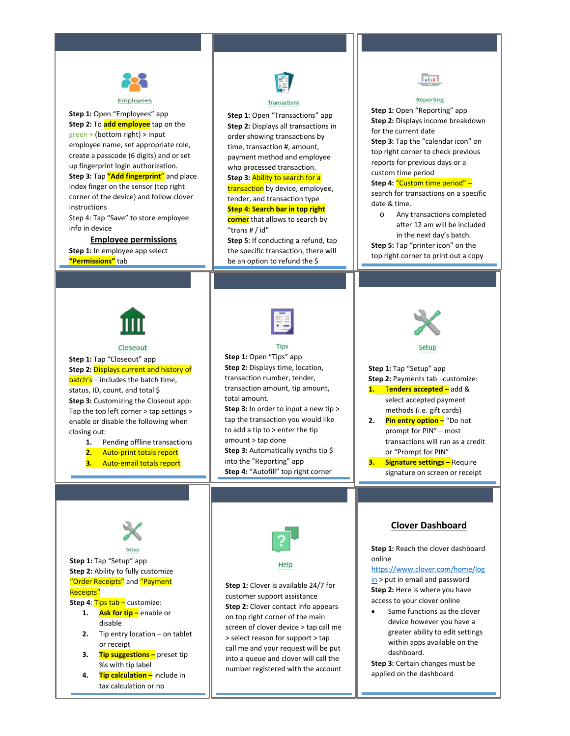

**Step 1:** Open "Employees" app **Step 2:** To **add employee** tap on the green + (bottom right) > input employee name, set appropriate role, create a passcode (6 digits) and or set up fingerprint login authorization. **Step 3:** Tap **"Add fingerprint**" and place index finger on the sensor (top right corner of the device) and follow clover instructions Step 4: Tap "Save" to store employee

info in device

## **Employee permissions**

**Step 1:** In employee app select **"Permissions"** tab



### Transactions

**Step 1:** Open "Transactions" app **Step 2:** Displays all transactions in order showing transactions by time, transaction #, amount, payment method and employee who processed transaction. **Step 3:** Ability to search for a transaction by device, employee, tender, and transaction type **Step 4: Search bar in top right corner** that allows to search by "trans # / id"

**Step 5**: If conducting a refund, tap the specific transaction, there will be an option to refund the \$



 $\overline{1}$ 

#### Closeout

**Step 1:** Tap "Closeout" app **Step 2:** Displays current and history of  $batch's - includes the batch time,$ status, ID, count, and total \$ **Step 3:** Customizing the Closeout app: Tap the top left corner > tap settings > enable or disable the following when closing out:

**1.** Pending offline transactions

- **2.** Auto-print totals report
- **3.** Auto-email totals report



**Step 1:** Open "Tips" app **Step 2:** Displays time, location, transaction number, tender, transaction amount, tip amount, total amount.

**Step 3:** In order to input a new tip > tap the transaction you would like to add a tip to > enter the tip amount > tap done **Step 3:** Automatically synchs tip \$ into the "Reporting" app **Step 4:** "Autofill" top right corner



**Step 1:** Open "Reporting" app **Step 2:** Displays income breakdown

**Step 3:** Tap the "calendar icon" on top right corner to check previous reports for previous days or a

**GOL** 

Reporting

**Step 4:** "Custom time period" – search for transactions on a specific

o Any transactions completed after 12 am will be included in the next day's batch. **Step 5:** Tap "printer icon" on the top right corner to print out a copy

for the current date

custom time period

date & time.

prompt for PIN" – most transactions will run as a credit or "Prompt for PIN"

**3. Signature settings –** Require signature on screen or receipt

# **Clover Dashboard**

**Step 1:** Reach the clover dashboard online

[https://www.clover.com/home/log](https://www.clover.com/home/login) [in](https://www.clover.com/home/login) > put in email and password **Step 2:** Here is where you have access to your clover online

Same functions as the clover device however you have a greater ability to edit settings within apps available on the dashboard.

**Step 3:** Certain changes must be applied on the dashboard



**Step 2:** Ability to fully customize "Order Receipts" and "Payment Receipts"

**Step 4:** Tips tab – customize:

- **1. Ask for tip –** enable or disable
- **2.** Tip entry location on tablet or receipt
- **3. Tip suggestions –** preset tip %s with tip label
- **4. Tip calculation –** include in tax calculation or no





customer support assistance **Step 2:** Clover contact info appears on top right corner of the main screen of clover device > tap call me > select reason for support > tap call me and your request will be put into a queue and clover will call the number registered with the account